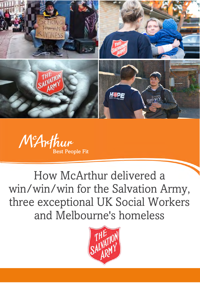



How McArthur delivered a win/win/win for the Salvation Army, three exceptional UK Social Workers and Melbourne's homeless